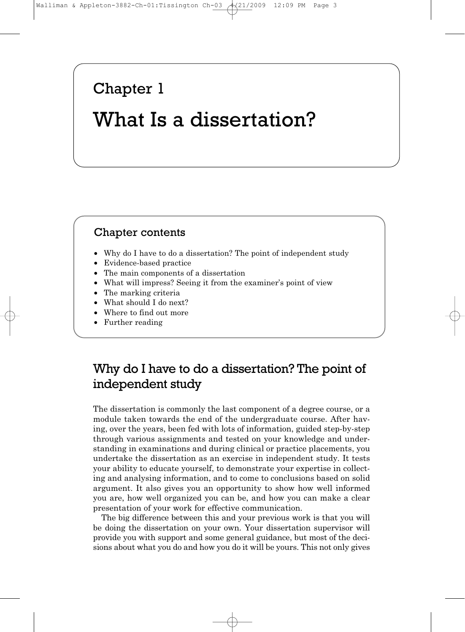# Chapter 1

# What Is a dissertation?

### Chapter contents

- Why do I have to do a dissertation? The point of independent study
- Evidence-based practice
- The main components of a dissertation
- What will impress? Seeing it from the examiner's point of view
- The marking criteria
- What should I do next?
- Where to find out more
- Further reading

# Why do I have to do a dissertation? The point of independent study

The dissertation is commonly the last component of a degree course, or a module taken towards the end of the undergraduate course. After having, over the years, been fed with lots of information, guided step-by-step through various assignments and tested on your knowledge and understanding in examinations and during clinical or practice placements, you undertake the dissertation as an exercise in independent study. It tests your ability to educate yourself, to demonstrate your expertise in collecting and analysing information, and to come to conclusions based on solid argument. It also gives you an opportunity to show how well informed you are, how well organized you can be, and how you can make a clear presentation of your work for effective communication.

The big difference between this and your previous work is that you will be doing the dissertation on your own. Your dissertation supervisor will provide you with support and some general guidance, but most of the decisions about what you do and how you do it will be yours. This not only gives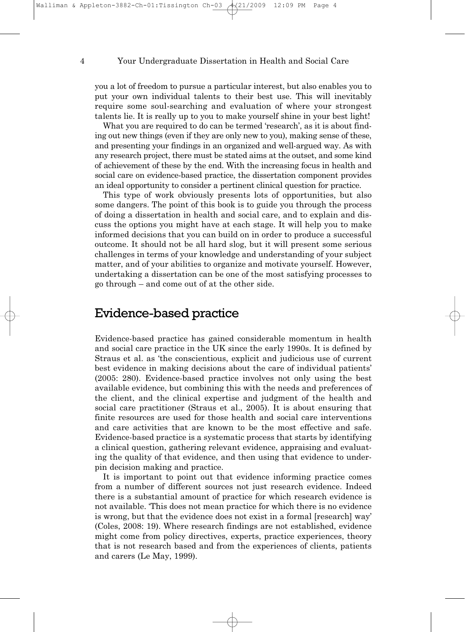you a lot of freedom to pursue a particular interest, but also enables you to put your own individual talents to their best use. This will inevitably require some soul-searching and evaluation of where your strongest talents lie. It is really up to you to make yourself shine in your best light!

What you are required to do can be termed 'research', as it is about finding out new things (even if they are only new to you), making sense of these, and presenting your findings in an organized and well-argued way. As with any research project, there must be stated aims at the outset, and some kind of achievement of these by the end. With the increasing focus in health and social care on evidence-based practice, the dissertation component provides an ideal opportunity to consider a pertinent clinical question for practice.

This type of work obviously presents lots of opportunities, but also some dangers. The point of this book is to guide you through the process of doing a dissertation in health and social care, and to explain and discuss the options you might have at each stage. It will help you to make informed decisions that you can build on in order to produce a successful outcome. It should not be all hard slog, but it will present some serious challenges in terms of your knowledge and understanding of your subject matter, and of your abilities to organize and motivate yourself. However, undertaking a dissertation can be one of the most satisfying processes to go through – and come out of at the other side.

# Evidence-based practice

Evidence-based practice has gained considerable momentum in health and social care practice in the UK since the early 1990s. It is defined by Straus et al. as 'the conscientious, explicit and judicious use of current best evidence in making decisions about the care of individual patients' (2005: 280). Evidence-based practice involves not only using the best available evidence, but combining this with the needs and preferences of the client, and the clinical expertise and judgment of the health and social care practitioner (Straus et al., 2005). It is about ensuring that finite resources are used for those health and social care interventions and care activities that are known to be the most effective and safe. Evidence-based practice is a systematic process that starts by identifying a clinical question, gathering relevant evidence, appraising and evaluating the quality of that evidence, and then using that evidence to underpin decision making and practice.

It is important to point out that evidence informing practice comes from a number of different sources not just research evidence. Indeed there is a substantial amount of practice for which research evidence is not available. 'This does not mean practice for which there is no evidence is wrong, but that the evidence does not exist in a formal [research] way' (Coles, 2008: 19). Where research findings are not established, evidence might come from policy directives, experts, practice experiences, theory that is not research based and from the experiences of clients, patients and carers (Le May, 1999).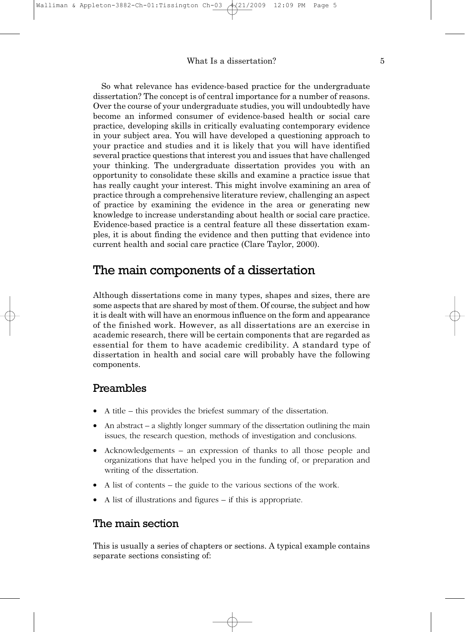#### Walliman & Appleton-3882-Ch-01:Tissington Ch-03  $A$  21/2009

What Is a dissertation? 5

So what relevance has evidence-based practice for the undergraduate dissertation? The concept is of central importance for a number of reasons. Over the course of your undergraduate studies, you will undoubtedly have become an informed consumer of evidence-based health or social care practice, developing skills in critically evaluating contemporary evidence in your subject area. You will have developed a questioning approach to your practice and studies and it is likely that you will have identified several practice questions that interest you and issues that have challenged your thinking. The undergraduate dissertation provides you with an opportunity to consolidate these skills and examine a practice issue that has really caught your interest. This might involve examining an area of practice through a comprehensive literature review, challenging an aspect of practice by examining the evidence in the area or generating new knowledge to increase understanding about health or social care practice. Evidence-based practice is a central feature all these dissertation examples, it is about finding the evidence and then putting that evidence into current health and social care practice (Clare Taylor, 2000).

# The main components of a dissertation

Although dissertations come in many types, shapes and sizes, there are some aspects that are shared by most of them. Of course, the subject and how it is dealt with will have an enormous influence on the form and appearance of the finished work. However, as all dissertations are an exercise in academic research, there will be certain components that are regarded as essential for them to have academic credibility. A standard type of dissertation in health and social care will probably have the following components.

### Preambles

- A title this provides the briefest summary of the dissertation.
- An abstract a slightly longer summary of the dissertation outlining the main issues, the research question, methods of investigation and conclusions.
- Acknowledgements an expression of thanks to all those people and organizations that have helped you in the funding of, or preparation and writing of the dissertation.
- A list of contents the guide to the various sections of the work.
- A list of illustrations and figures if this is appropriate.

#### The main section

This is usually a series of chapters or sections. A typical example contains separate sections consisting of: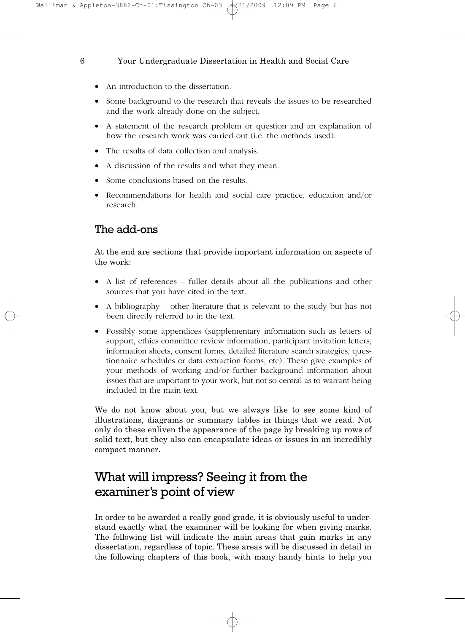- An introduction to the dissertation.
- Some background to the research that reveals the issues to be researched and the work already done on the subject.
- A statement of the research problem or question and an explanation of how the research work was carried out (i.e. the methods used).
- The results of data collection and analysis.
- A discussion of the results and what they mean.
- Some conclusions based on the results.
- Recommendations for health and social care practice, education and/or research.

### The add-ons

At the end are sections that provide important information on aspects of the work:

- A list of references fuller details about all the publications and other sources that you have cited in the text.
- A bibliography other literature that is relevant to the study but has not been directly referred to in the text.
- Possibly some appendices (supplementary information such as letters of support, ethics committee review information, participant invitation letters, information sheets, consent forms, detailed literature search strategies, questionnaire schedules or data extraction forms, etc). These give examples of your methods of working and/or further background information about issues that are important to your work, but not so central as to warrant being included in the main text.

We do not know about you, but we always like to see some kind of illustrations, diagrams or summary tables in things that we read. Not only do these enliven the appearance of the page by breaking up rows of solid text, but they also can encapsulate ideas or issues in an incredibly compact manner.

# What will impress? Seeing it from the examiner's point of view

In order to be awarded a really good grade, it is obviously useful to understand exactly what the examiner will be looking for when giving marks. The following list will indicate the main areas that gain marks in any dissertation, regardless of topic. These areas will be discussed in detail in the following chapters of this book, with many handy hints to help you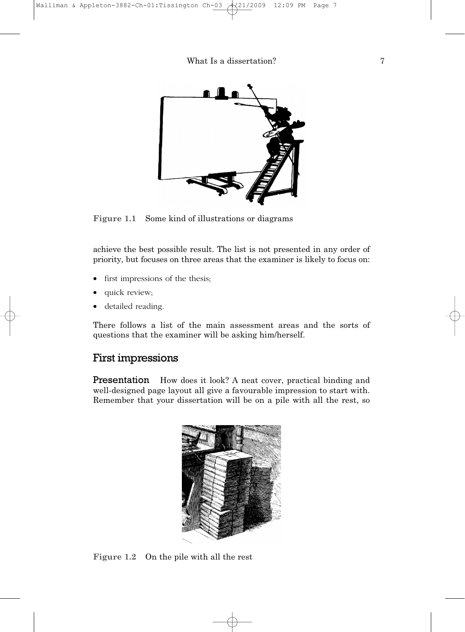#### What Is a dissertation? 7



**Figure 1.1** Some kind of illustrations or diagrams

achieve the best possible result. The list is not presented in any order of priority, but focuses on three areas that the examiner is likely to focus on:

- first impressions of the thesis;
- quick review;
- detailed reading.

There follows a list of the main assessment areas and the sorts of questions that the examiner will be asking him/herself.

### First impressions

**Presentation** How does it look? A neat cover, practical binding and well-designed page layout all give a favourable impression to start with. Remember that your dissertation will be on a pile with all the rest, so



**Figure 1.2** On the pile with all the rest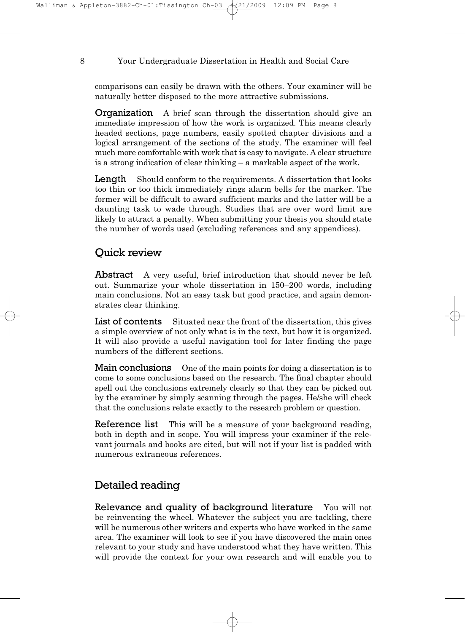comparisons can easily be drawn with the others. Your examiner will be naturally better disposed to the more attractive submissions.

**Organization** A brief scan through the dissertation should give an immediate impression of how the work is organized. This means clearly headed sections, page numbers, easily spotted chapter divisions and a logical arrangement of the sections of the study. The examiner will feel much more comfortable with work that is easy to navigate. A clear structure is a strong indication of clear thinking – a markable aspect of the work.

**Length** Should conform to the requirements. A dissertation that looks too thin or too thick immediately rings alarm bells for the marker. The former will be difficult to award sufficient marks and the latter will be a daunting task to wade through. Studies that are over word limit are likely to attract a penalty. When submitting your thesis you should state the number of words used (excluding references and any appendices).

### Quick review

**Abstract** A very useful, brief introduction that should never be left out. Summarize your whole dissertation in 150–200 words, including main conclusions. Not an easy task but good practice, and again demonstrates clear thinking.

List of contents Situated near the front of the dissertation, this gives a simple overview of not only what is in the text, but how it is organized. It will also provide a useful navigation tool for later finding the page numbers of the different sections.

**Main conclusions** One of the main points for doing a dissertation is to come to some conclusions based on the research. The final chapter should spell out the conclusions extremely clearly so that they can be picked out by the examiner by simply scanning through the pages. He/she will check that the conclusions relate exactly to the research problem or question.

**Reference list** This will be a measure of your background reading, both in depth and in scope. You will impress your examiner if the relevant journals and books are cited, but will not if your list is padded with numerous extraneous references.

### Detailed reading

Relevance and quality of background literature You will not be reinventing the wheel. Whatever the subject you are tackling, there will be numerous other writers and experts who have worked in the same area. The examiner will look to see if you have discovered the main ones relevant to your study and have understood what they have written. This will provide the context for your own research and will enable you to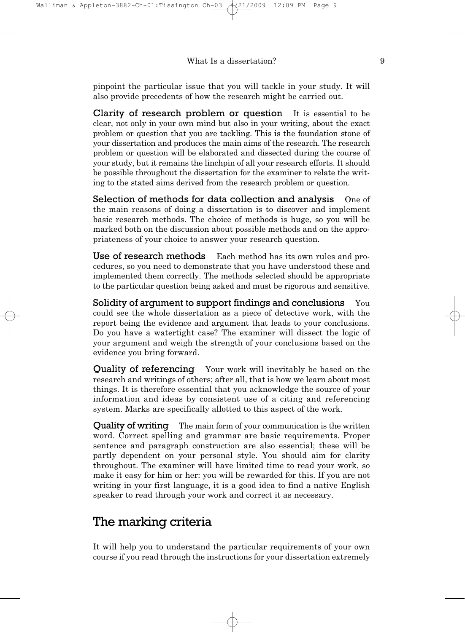pinpoint the particular issue that you will tackle in your study. It will also provide precedents of how the research might be carried out.

Clarity of research problem or question It is essential to be clear, not only in your own mind but also in your writing, about the exact problem or question that you are tackling. This is the foundation stone of your dissertation and produces the main aims of the research. The research problem or question will be elaborated and dissected during the course of your study, but it remains the linchpin of all your research efforts. It should be possible throughout the dissertation for the examiner to relate the writing to the stated aims derived from the research problem or question.

Selection of methods for data collection and analysis One of the main reasons of doing a dissertation is to discover and implement basic research methods. The choice of methods is huge, so you will be marked both on the discussion about possible methods and on the appropriateness of your choice to answer your research question.

Use of research methods Each method has its own rules and procedures, so you need to demonstrate that you have understood these and implemented them correctly. The methods selected should be appropriate to the particular question being asked and must be rigorous and sensitive.

Solidity of argument to support findings and conclusions You could see the whole dissertation as a piece of detective work, with the report being the evidence and argument that leads to your conclusions. Do you have a watertight case? The examiner will dissect the logic of your argument and weigh the strength of your conclusions based on the evidence you bring forward.

**Quality of referencing** Your work will inevitably be based on the research and writings of others; after all, that is how we learn about most things. It is therefore essential that you acknowledge the source of your information and ideas by consistent use of a citing and referencing system. Marks are specifically allotted to this aspect of the work.

**Quality of writing** The main form of your communication is the written word. Correct spelling and grammar are basic requirements. Proper sentence and paragraph construction are also essential; these will be partly dependent on your personal style. You should aim for clarity throughout. The examiner will have limited time to read your work, so make it easy for him or her: you will be rewarded for this. If you are not writing in your first language, it is a good idea to find a native English speaker to read through your work and correct it as necessary.

# The marking criteria

It will help you to understand the particular requirements of your own course if you read through the instructions for your dissertation extremely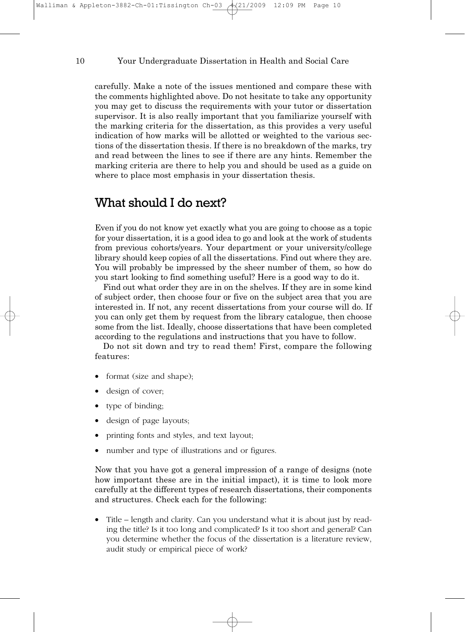carefully. Make a note of the issues mentioned and compare these with the comments highlighted above. Do not hesitate to take any opportunity you may get to discuss the requirements with your tutor or dissertation supervisor. It is also really important that you familiarize yourself with the marking criteria for the dissertation, as this provides a very useful indication of how marks will be allotted or weighted to the various sections of the dissertation thesis. If there is no breakdown of the marks, try and read between the lines to see if there are any hints. Remember the marking criteria are there to help you and should be used as a guide on where to place most emphasis in your dissertation thesis.

## What should I do next?

Even if you do not know yet exactly what you are going to choose as a topic for your dissertation, it is a good idea to go and look at the work of students from previous cohorts/years. Your department or your university/college library should keep copies of all the dissertations. Find out where they are. You will probably be impressed by the sheer number of them, so how do you start looking to find something useful? Here is a good way to do it.

Find out what order they are in on the shelves. If they are in some kind of subject order, then choose four or five on the subject area that you are interested in. If not, any recent dissertations from your course will do. If you can only get them by request from the library catalogue, then choose some from the list. Ideally, choose dissertations that have been completed according to the regulations and instructions that you have to follow.

Do not sit down and try to read them! First, compare the following features:

- format (size and shape);
- design of cover;
- type of binding;
- design of page layouts;
- printing fonts and styles, and text layout;
- number and type of illustrations and or figures.

Now that you have got a general impression of a range of designs (note how important these are in the initial impact), it is time to look more carefully at the different types of research dissertations, their components and structures. Check each for the following:

• Title – length and clarity. Can you understand what it is about just by reading the title? Is it too long and complicated? Is it too short and general? Can you determine whether the focus of the dissertation is a literature review, audit study or empirical piece of work?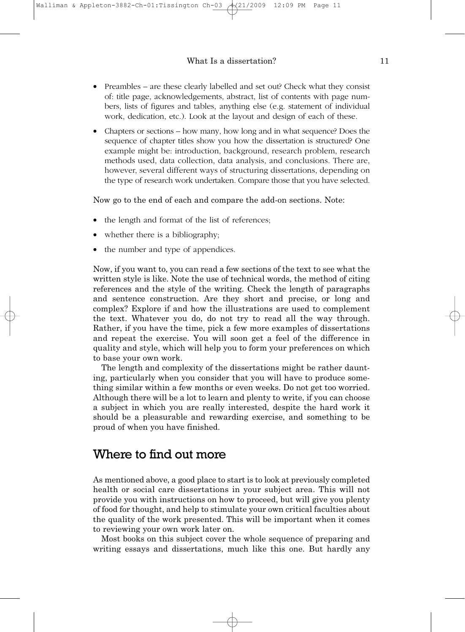#### What Is a dissertation? 11

- Preambles are these clearly labelled and set out? Check what they consist of: title page, acknowledgements, abstract, list of contents with page numbers, lists of figures and tables, anything else (e.g. statement of individual work, dedication, etc.). Look at the layout and design of each of these.
- Chapters or sections how many, how long and in what sequence? Does the sequence of chapter titles show you how the dissertation is structured? One example might be: introduction, background, research problem, research methods used, data collection, data analysis, and conclusions. There are, however, several different ways of structuring dissertations, depending on the type of research work undertaken. Compare those that you have selected.

Now go to the end of each and compare the add-on sections. Note:

- the length and format of the list of references;
- whether there is a bibliography;
- the number and type of appendices.

Now, if you want to, you can read a few sections of the text to see what the written style is like. Note the use of technical words, the method of citing references and the style of the writing. Check the length of paragraphs and sentence construction. Are they short and precise, or long and complex? Explore if and how the illustrations are used to complement the text. Whatever you do, do not try to read all the way through. Rather, if you have the time, pick a few more examples of dissertations and repeat the exercise. You will soon get a feel of the difference in quality and style, which will help you to form your preferences on which to base your own work.

The length and complexity of the dissertations might be rather daunting, particularly when you consider that you will have to produce something similar within a few months or even weeks. Do not get too worried. Although there will be a lot to learn and plenty to write, if you can choose a subject in which you are really interested, despite the hard work it should be a pleasurable and rewarding exercise, and something to be proud of when you have finished.

## Where to find out more

As mentioned above, a good place to start is to look at previously completed health or social care dissertations in your subject area. This will not provide you with instructions on how to proceed, but will give you plenty of food for thought, and help to stimulate your own critical faculties about the quality of the work presented. This will be important when it comes to reviewing your own work later on.

Most books on this subject cover the whole sequence of preparing and writing essays and dissertations, much like this one. But hardly any